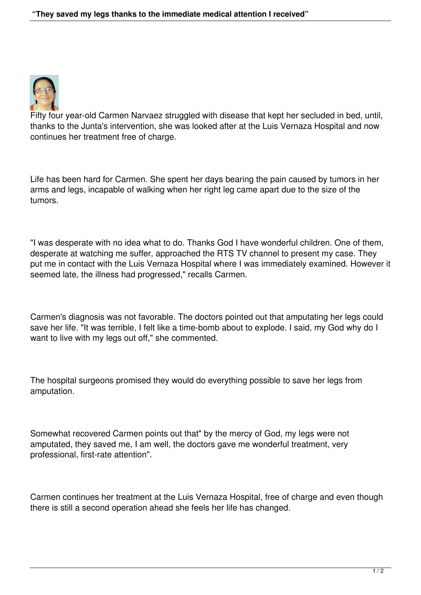

Fifty four year-old Carmen Narvaez struggled with disease that kept her secluded in bed, until, thanks to the Junta's intervention, she was looked after at the Luis Vernaza Hospital and now continues her treatment free of charge.

Life has been hard for Carmen. She spent her days bearing the pain caused by tumors in her arms and legs, incapable of walking when her right leg came apart due to the size of the tumors.

"I was desperate with no idea what to do. Thanks God I have wonderful children. One of them, desperate at watching me suffer, approached the RTS TV channel to present my case. They put me in contact with the Luis Vernaza Hospital where I was immediately examined. However it seemed late, the illness had progressed," recalls Carmen.

Carmen's diagnosis was not favorable. The doctors pointed out that amputating her legs could save her life. "It was terrible, I felt like a time-bomb about to explode. I said, my God why do I want to live with my legs out off," she commented.

The hospital surgeons promised they would do everything possible to save her legs from amputation.

Somewhat recovered Carmen points out that" by the mercy of God, my legs were not amputated, they saved me, I am well, the doctors gave me wonderful treatment, very professional, first-rate attention".

Carmen continues her treatment at the Luis Vernaza Hospital, free of charge and even though there is still a second operation ahead she feels her life has changed.